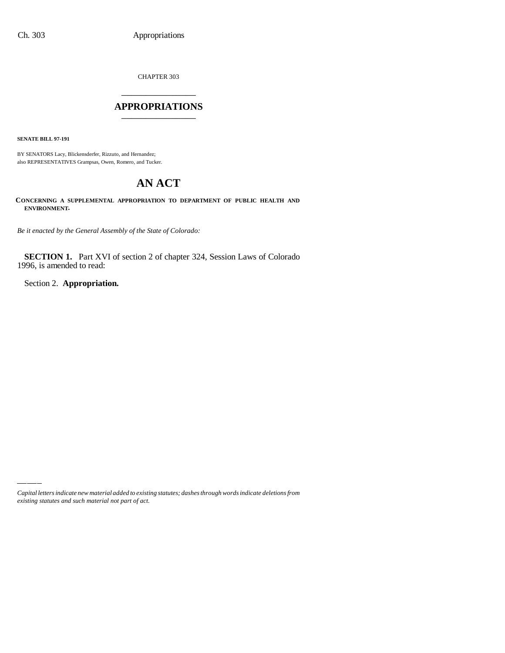CHAPTER 303 \_\_\_\_\_\_\_\_\_\_\_\_\_\_\_

## **APPROPRIATIONS** \_\_\_\_\_\_\_\_\_\_\_\_\_\_\_

**SENATE BILL 97-191**

BY SENATORS Lacy, Blickensderfer, Rizzuto, and Hernandez; also REPRESENTATIVES Grampsas, Owen, Romero, and Tucker.

# **AN ACT**

**CONCERNING A SUPPLEMENTAL APPROPRIATION TO DEPARTMENT OF PUBLIC HEALTH AND ENVIRONMENT.**

*Be it enacted by the General Assembly of the State of Colorado:*

**SECTION 1.** Part XVI of section 2 of chapter 324, Session Laws of Colorado 1996, is amended to read:

Section 2. **Appropriation.**

*Capital letters indicate new material added to existing statutes; dashes through words indicate deletions from existing statutes and such material not part of act.*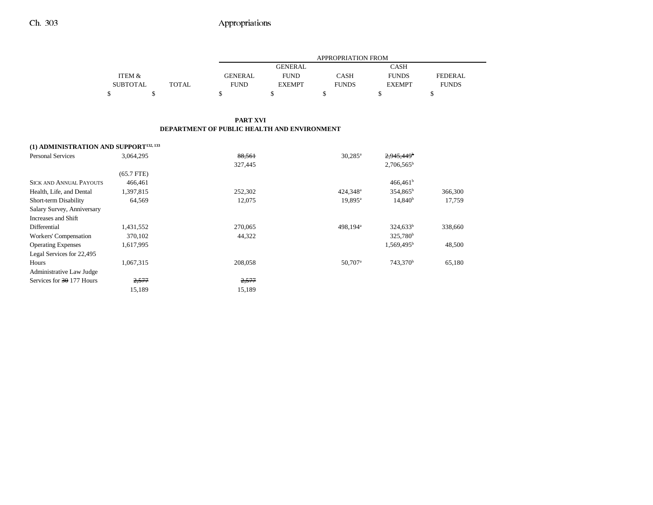|                                 |       | APPROPRIATION FROM |                |              |               |                |  |
|---------------------------------|-------|--------------------|----------------|--------------|---------------|----------------|--|
|                                 |       |                    | <b>GENERAL</b> |              | <b>CASH</b>   |                |  |
| <b>ITEM <math>\&amp;</math></b> |       | <b>GENERAL</b>     | <b>FUND</b>    | <b>CASH</b>  | <b>FUNDS</b>  | <b>FEDERAL</b> |  |
| <b>SUBTOTAL</b>                 | TOTAL | <b>FUND</b>        | <b>EXEMPT</b>  | <b>FUNDS</b> | <b>EXEMPT</b> | <b>FUNDS</b>   |  |
|                                 |       |                    |                |              |               |                |  |

#### **PART XVI DEPARTMENT OF PUBLIC HEALTH AND ENVIRONMENT**

## **(1) ADMINISTRATION AND SUPPORT132, 133**

| <b>Personal Services</b>       | 3.064.295    | 88.561  | $30.285^{\circ}$     | 2.945.449 <sup>b</sup> |         |
|--------------------------------|--------------|---------|----------------------|------------------------|---------|
|                                |              | 327,445 |                      | $2,706,565^b$          |         |
|                                | $(65.7$ FTE) |         |                      |                        |         |
| <b>SICK AND ANNUAL PAYOUTS</b> | 466,461      |         |                      | 466,461 <sup>b</sup>   |         |
| Health, Life, and Dental       | 1,397,815    | 252,302 | $424.348^a$          | 354,865 <sup>b</sup>   | 366,300 |
| Short-term Disability          | 64,569       | 12,075  | 19,895 <sup>a</sup>  | 14,840 <sup>b</sup>    | 17,759  |
| Salary Survey, Anniversary     |              |         |                      |                        |         |
| Increases and Shift            |              |         |                      |                        |         |
| Differential                   | 1,431,552    | 270,065 | 498.194 <sup>a</sup> | $324,633^b$            | 338,660 |
| Workers' Compensation          | 370,102      | 44,322  |                      | 325,780 <sup>b</sup>   |         |
| <b>Operating Expenses</b>      | 1,617,995    |         |                      | 1,569,495 <sup>b</sup> | 48,500  |
| Legal Services for 22,495      |              |         |                      |                        |         |
| Hours                          | 1,067,315    | 208,058 | 50,707 <sup>a</sup>  | 743,370 <sup>b</sup>   | 65,180  |
| Administrative Law Judge       |              |         |                      |                        |         |
| Services for 30 177 Hours      | 2,577        | 2,577   |                      |                        |         |
|                                | 15,189       | 15,189  |                      |                        |         |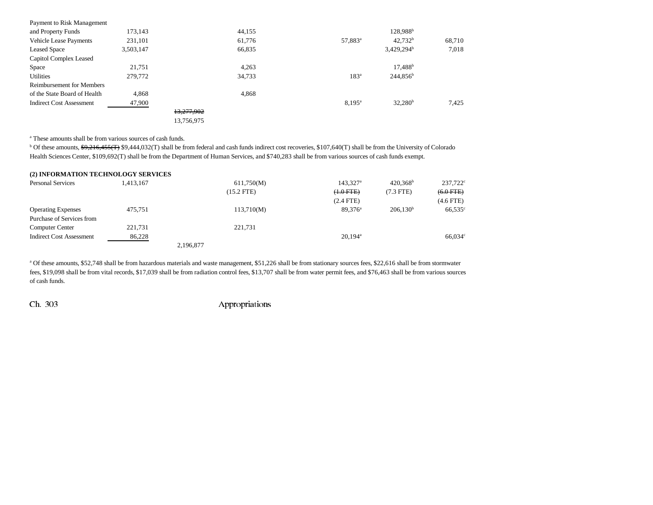| Payment to Risk Management       |           |            |        |                     |                      |        |
|----------------------------------|-----------|------------|--------|---------------------|----------------------|--------|
| and Property Funds               | 173,143   |            | 44,155 |                     | 128,988 <sup>b</sup> |        |
| <b>Vehicle Lease Payments</b>    | 231,101   |            | 61,776 | 57,883 <sup>a</sup> | 42.732 <sup>b</sup>  | 68,710 |
| <b>Leased Space</b>              | 3,503,147 |            | 66,835 |                     | $3,429,294^b$        | 7,018  |
| Capitol Complex Leased           |           |            |        |                     |                      |        |
| Space                            | 21,751    |            | 4.263  |                     | $17.488^b$           |        |
| <b>Utilities</b>                 | 279,772   |            | 34,733 | 183 <sup>a</sup>    | $244,856^b$          |        |
| <b>Reimbursement for Members</b> |           |            |        |                     |                      |        |
| of the State Board of Health     | 4.868     |            | 4,868  |                     |                      |        |
| <b>Indirect Cost Assessment</b>  | 47,900    |            |        | $8.195^{\circ}$     | $32,280^{\rm b}$     | 7,425  |
|                                  |           | 13,277,902 |        |                     |                      |        |
|                                  |           | 13,756,975 |        |                     |                      |        |

a These amounts shall be from various sources of cash funds.

<sup>b</sup> Of these amounts, \$9,216,455(T) \$9,444,032(T) shall be from federal and cash funds indirect cost recoveries, \$107,640(T) shall be from the University of Colorado Health Sciences Center, \$109,692(T) shall be from the Department of Human Services, and \$740,283 shall be from various sources of cash funds exempt.

## **(2) INFORMATION TECHNOLOGY SERVICES** Personal Services 237,722<sup>c</sup> (1,413,167 611,750(M) 143,327<sup>a</sup> 420,368<sup>b</sup> 237,722<sup>c</sup> (15.2 FTE)  $(+.0$  FTE)  $(7.3$  FTE)  $(+.0$  FTE) (2.4 FTE) (4.6 FTE) Operating Expenses 475,751 113,710(M) 89,376<sup>a</sup> 206,130<sup>b</sup> 66,535<sup>c</sup> Purchase of Services fromComputer Center 221,731 221,731 Indirect Cost Assessment 86,228 8 86,034<sup>c</sup> 20,194<sup>a</sup> 66,034<sup>c</sup> 2,196,877

a Of these amounts, \$52,748 shall be from hazardous materials and waste management, \$51,226 shall be from stationary sources fees, \$22,616 shall be from stormwater fees, \$19,098 shall be from vital records, \$17,039 shall be from radiation control fees, \$13,707 shall be from water permit fees, and \$76,463 shall be from various sources of cash funds.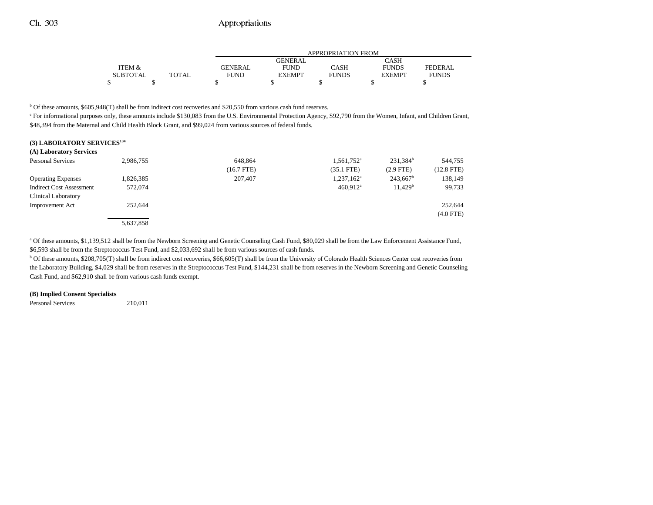|                 |              | APPROPRIATION FROM |                |              |               |                |  |
|-----------------|--------------|--------------------|----------------|--------------|---------------|----------------|--|
|                 |              |                    | <b>GENERAL</b> |              | CASH          |                |  |
| ITEM &          |              | <b>GENERAL</b>     | FUND           | CASH         | <b>FUNDS</b>  | <b>FEDERAL</b> |  |
| <b>SUBTOTAL</b> | <b>TOTAL</b> | FUND               | <b>EXEMPT</b>  | <b>FUNDS</b> | <b>EXEMPT</b> | <b>FUNDS</b>   |  |
| ሖ               |              |                    |                |              |               |                |  |

 $b$  Of these amounts, \$605,948(T) shall be from indirect cost recoveries and \$20,550 from various cash fund reserves.

<sup>c</sup> For informational purposes only, these amounts include \$130,083 from the U.S. Environmental Protection Agency, \$92,790 from the Women, Infant, and Children Grant, \$48,394 from the Maternal and Child Health Block Grant, and \$99,024 from various sources of federal funds.

#### **(3) LABORATORY SERVICES134**

| (A) Laboratory Services         |           |              |                        |                     |              |
|---------------------------------|-----------|--------------|------------------------|---------------------|--------------|
| <b>Personal Services</b>        | 2,986,755 | 648,864      | 1,561,752 <sup>a</sup> | $231,384^b$         | 544,755      |
|                                 |           | $(16.7$ FTE) | $(35.1$ FTE)           | $(2.9$ FTE)         | $(12.8$ FTE) |
| <b>Operating Expenses</b>       | 1,826,385 | 207,407      | 1,237,162 <sup>a</sup> | $243,667^b$         | 138,149      |
| <b>Indirect Cost Assessment</b> | 572,074   |              | $460.912$ <sup>a</sup> | 11.429 <sup>b</sup> | 99,733       |
| <b>Clinical Laboratory</b>      |           |              |                        |                     |              |
| <b>Improvement Act</b>          | 252,644   |              |                        |                     | 252,644      |
|                                 |           |              |                        |                     | $(4.0$ FTE)  |
|                                 | 5,637,858 |              |                        |                     |              |

a Of these amounts, \$1,139,512 shall be from the Newborn Screening and Genetic Counseling Cash Fund, \$80,029 shall be from the Law Enforcement Assistance Fund, \$6,593 shall be from the Streptococcus Test Fund, and \$2,033,692 shall be from various sources of cash funds.

b Of these amounts, \$208,705(T) shall be from indirect cost recoveries, \$66,605(T) shall be from the University of Colorado Health Sciences Center cost recoveries from the Laboratory Building, \$4,029 shall be from reserves in the Streptococcus Test Fund, \$144,231 shall be from reserves in the Newborn Screening and Genetic Counseling Cash Fund, and \$62,910 shall be from various cash funds exempt.

#### **(B) Implied Consent Specialists**

Personal Services 210,011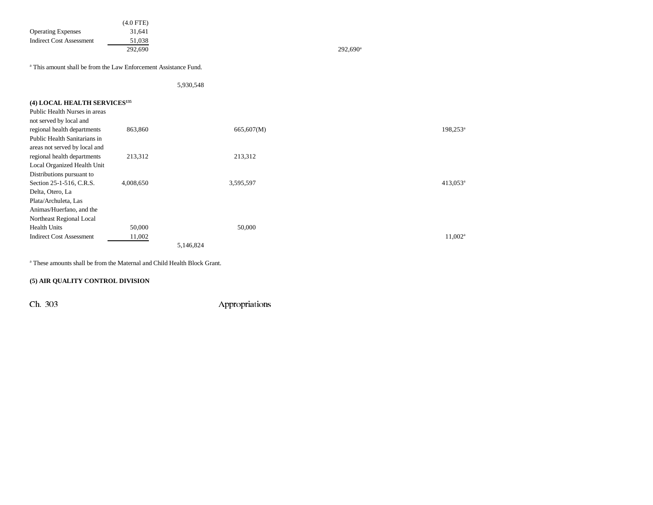| <b>Operating Expenses</b><br><b>Indirect Cost Assessment</b>                | $(4.0$ FTE)<br>31,641<br>51,038<br>292,690 |            | $292,690^{\circ}$ |                      |
|-----------------------------------------------------------------------------|--------------------------------------------|------------|-------------------|----------------------|
| <sup>a</sup> This amount shall be from the Law Enforcement Assistance Fund. |                                            |            |                   |                      |
|                                                                             |                                            | 5,930,548  |                   |                      |
| (4) LOCAL HEALTH SERVICES <sup>135</sup>                                    |                                            |            |                   |                      |
| Public Health Nurses in areas                                               |                                            |            |                   |                      |
| not served by local and                                                     |                                            |            |                   |                      |
| regional health departments                                                 | 863,860                                    | 665,607(M) |                   | 198,253 <sup>a</sup> |
| Public Health Sanitarians in                                                |                                            |            |                   |                      |
| areas not served by local and                                               |                                            |            |                   |                      |
| regional health departments                                                 | 213,312                                    | 213,312    |                   |                      |
| Local Organized Health Unit                                                 |                                            |            |                   |                      |
| Distributions pursuant to                                                   |                                            |            |                   |                      |
| Section 25-1-516, C.R.S.                                                    | 4,008,650                                  | 3,595,597  |                   | 413.053 <sup>a</sup> |

Health Units 50,000 50,000 50,000 Indirect Cost Assessment 11,002<sup>a</sup> 11,002<sup>a</sup> 5,146,824 a These amounts shall be from the Maternal and Child Health Block Grant.

## **(5) AIR QUALITY CONTROL DIVISION**

Delta, Otero, La Plata/Archuleta, Las Animas/Huerfano, and the Northeast Regional Local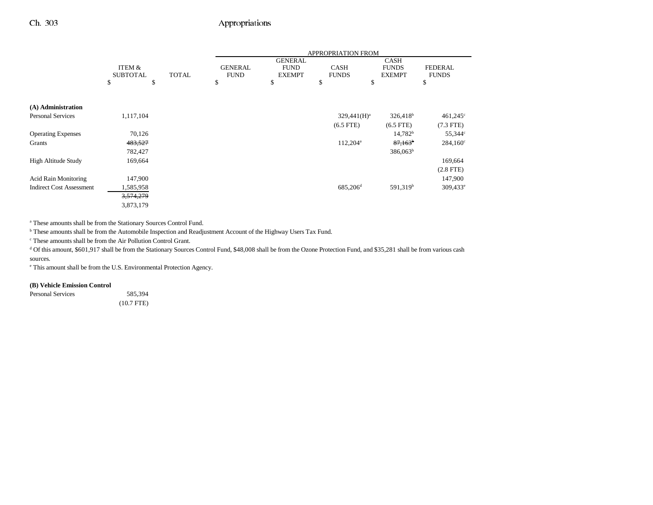|                                 |                      |              | <b>APPROPRIATION FROM</b> |                |                      |                      |                   |
|---------------------------------|----------------------|--------------|---------------------------|----------------|----------------------|----------------------|-------------------|
|                                 |                      |              |                           | <b>GENERAL</b> |                      | <b>CASH</b>          |                   |
|                                 | ITEM &               |              | <b>GENERAL</b>            | <b>FUND</b>    | <b>CASH</b>          | <b>FUNDS</b>         | <b>FEDERAL</b>    |
|                                 | <b>SUBTOTAL</b>      | <b>TOTAL</b> | <b>FUND</b>               | <b>EXEMPT</b>  | <b>FUNDS</b>         | <b>EXEMPT</b>        | <b>FUNDS</b>      |
|                                 | \$<br>\$             |              | \$                        | \$             | \$                   | \$                   | \$                |
|                                 |                      |              |                           |                |                      |                      |                   |
| (A) Administration              |                      |              |                           |                |                      |                      |                   |
| <b>Personal Services</b>        | 1,117,104            |              |                           |                | $329,441(H)^a$       | $326,418^b$          | $461,245^{\circ}$ |
|                                 |                      |              |                           |                | $(6.5$ FTE)          | $(6.5$ FTE)          | $(7.3$ FTE)       |
| <b>Operating Expenses</b>       | 70,126               |              |                           |                |                      | $14,782^b$           | 55,344°           |
| Grants                          | 483,527              |              |                           |                | $112,204^{\circ}$    | $87,163^{\circ}$     | $284,160^{\circ}$ |
|                                 | 782,427              |              |                           |                |                      | $386,063^b$          |                   |
| <b>High Altitude Study</b>      | 169,664              |              |                           |                |                      |                      | 169,664           |
|                                 |                      |              |                           |                |                      |                      | $(2.8$ FTE)       |
| <b>Acid Rain Monitoring</b>     | 147,900              |              |                           |                |                      |                      | 147,900           |
| <b>Indirect Cost Assessment</b> | 1,585,958            |              |                           |                | 685,206 <sup>d</sup> | 591,319 <sup>b</sup> | $309,433^e$       |
|                                 | <del>3,574,279</del> |              |                           |                |                      |                      |                   |
|                                 | 3,873,179            |              |                           |                |                      |                      |                   |

a These amounts shall be from the Stationary Sources Control Fund.

b These amounts shall be from the Automobile Inspection and Readjustment Account of the Highway Users Tax Fund.

c These amounts shall be from the Air Pollution Control Grant.

<sup>d</sup> Of this amount, \$601,917 shall be from the Stationary Sources Control Fund, \$48,008 shall be from the Ozone Protection Fund, and \$35,281 shall be from various cash sources.

e This amount shall be from the U.S. Environmental Protection Agency.

#### **(B) Vehicle Emission Control**

Personal Services 585,394 (10.7 FTE)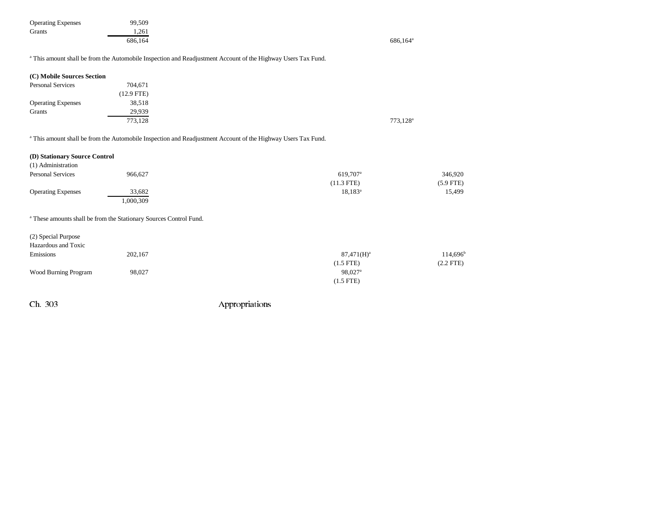| <b>Operating Expenses</b> | 99,509  |                      |
|---------------------------|---------|----------------------|
| Grants                    | 1.261   |                      |
|                           | 686.164 | 686,164 <sup>a</sup> |

a This amount shall be from the Automobile Inspection and Readjustment Account of the Highway Users Tax Fund.

| (C) Mobile Sources Section |              |
|----------------------------|--------------|
| <b>Personal Services</b>   | 704,671      |
|                            | $(12.9$ FTE) |
| <b>Operating Expenses</b>  | 38,518       |
| Grants                     | 29,939       |
|                            | 773,128      |

a This amount shall be from the Automobile Inspection and Readjustment Account of the Highway Users Tax Fund.

| (D) Stationary Source Control |           |                      |             |
|-------------------------------|-----------|----------------------|-------------|
| (1) Administration            |           |                      |             |
| <b>Personal Services</b>      | 966.627   | 619.707 <sup>a</sup> | 346,920     |
|                               |           | $(11.3$ FTE)         | $(5.9$ FTE) |
| <b>Operating Expenses</b>     | 33,682    | $18.183^{\rm a}$     | 15,499      |
|                               | 1,000,309 |                      |             |

a These amounts shall be from the Stationary Sources Control Fund.

| (2) Special Purpose  |         |                     |                   |
|----------------------|---------|---------------------|-------------------|
| Hazardous and Toxic  |         |                     |                   |
| Emissions            | 202,167 | $87,471(H)^a$       | $114,696^{\rm b}$ |
|                      |         | $(1.5$ FTE)         | $(2.2$ FTE)       |
| Wood Burning Program | 98,027  | 98,027 <sup>a</sup> |                   |
|                      |         | $(1.5$ FTE)         |                   |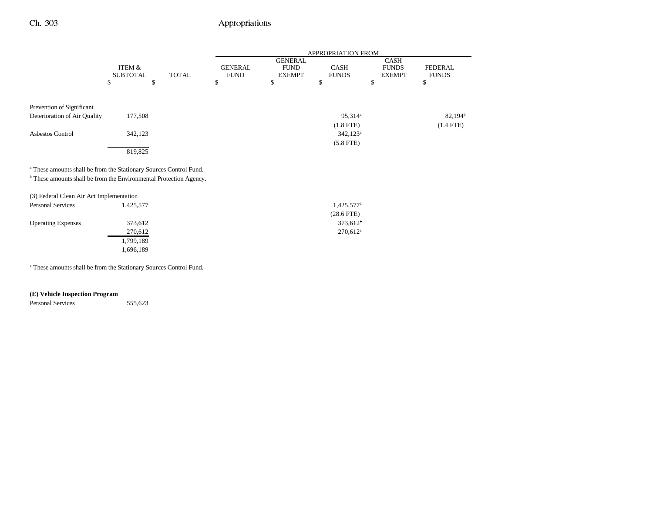|                                                                               |                           |              |                               |                                                | APPROPRIATION FROM          |                                              |                                |
|-------------------------------------------------------------------------------|---------------------------|--------------|-------------------------------|------------------------------------------------|-----------------------------|----------------------------------------------|--------------------------------|
|                                                                               | ITEM &<br><b>SUBTOTAL</b> | <b>TOTAL</b> | <b>GENERAL</b><br><b>FUND</b> | <b>GENERAL</b><br><b>FUND</b><br><b>EXEMPT</b> | <b>CASH</b><br><b>FUNDS</b> | <b>CASH</b><br><b>FUNDS</b><br><b>EXEMPT</b> | <b>FEDERAL</b><br><b>FUNDS</b> |
|                                                                               | \$                        | \$           | \$                            | ъ                                              | ъ                           | \$                                           | \$                             |
|                                                                               |                           |              |                               |                                                |                             |                                              |                                |
| Prevention of Significant                                                     |                           |              |                               |                                                |                             |                                              |                                |
| Deterioration of Air Quality                                                  | 177,508                   |              |                               |                                                | 95,314 <sup>a</sup>         |                                              | $82,194^{\rm b}$               |
|                                                                               |                           |              |                               |                                                | $(1.8$ FTE)                 |                                              | $(1.4$ FTE)                    |
| Asbestos Control                                                              | 342,123                   |              |                               |                                                | $342,123^a$                 |                                              |                                |
|                                                                               |                           |              |                               |                                                | $(5.8$ FTE)                 |                                              |                                |
|                                                                               | 819,825                   |              |                               |                                                |                             |                                              |                                |
|                                                                               |                           |              |                               |                                                |                             |                                              |                                |
| <sup>a</sup> These amounts shall be from the Stationary Sources Control Fund. |                           |              |                               |                                                |                             |                                              |                                |
| <sup>b</sup> These amounts shall be from the Environmental Protection Agency. |                           |              |                               |                                                |                             |                                              |                                |
|                                                                               |                           |              |                               |                                                |                             |                                              |                                |

| (3) Federal Clean Air Act Implementation |           |                        |
|------------------------------------------|-----------|------------------------|
| <b>Personal Services</b>                 | 1.425.577 | 1,425,577 <sup>a</sup> |
|                                          |           | $(28.6$ FTE)           |
| <b>Operating Expenses</b>                | 373.612   | $373,612$ <sup>a</sup> |
|                                          | 270,612   | $270,612^a$            |
|                                          | 1,799,189 |                        |
|                                          | 1.696.189 |                        |

a These amounts shall be from the Stationary Sources Control Fund.

### **(E) Vehicle Inspection Program**

Personal Services 555,623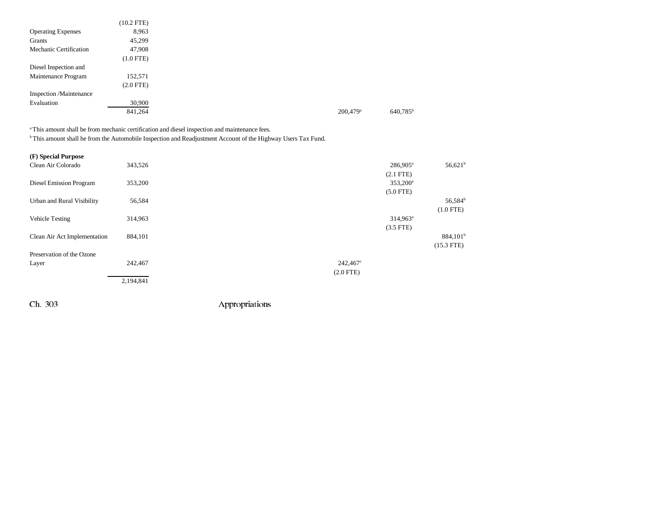|                           | $(10.2$ FTE)   |                      |  |
|---------------------------|----------------|----------------------|--|
| <b>Operating Expenses</b> | 8,963          |                      |  |
| Grants                    | 45,299         |                      |  |
| Mechanic Certification    | 47,908         |                      |  |
|                           | $(1.0$ FTE $)$ |                      |  |
| Diesel Inspection and     |                |                      |  |
| Maintenance Program       | 152,571        |                      |  |
|                           | $(2.0$ FTE $)$ |                      |  |
| Inspection /Maintenance   |                |                      |  |
| Evaluation                | 30,900         |                      |  |
|                           | 841,264        | 200,479 <sup>a</sup> |  |

<sup>a</sup> This amount shall be from mechanic certification and diesel inspection and maintenance fees.

b This amount shall be from the Automobile Inspection and Readjustment Account of the Highway Users Tax Fund.

| (F) Special Purpose            |           |                   |                      |                      |
|--------------------------------|-----------|-------------------|----------------------|----------------------|
| Clean Air Colorado             | 343,526   |                   | $286,905^{\circ}$    | $56,621^b$           |
|                                |           |                   | $(2.1$ FTE)          |                      |
| <b>Diesel Emission Program</b> | 353,200   |                   | 353,200 <sup>a</sup> |                      |
|                                |           |                   | $(5.0$ FTE)          |                      |
| Urban and Rural Visibility     | 56,584    |                   |                      | 56,584 <sup>b</sup>  |
|                                |           |                   |                      | $(1.0$ FTE)          |
| Vehicle Testing                | 314,963   |                   | $314,963^a$          |                      |
|                                |           |                   | $(3.5$ FTE)          |                      |
| Clean Air Act Implementation   | 884,101   |                   |                      | 884,101 <sup>b</sup> |
|                                |           |                   |                      | $(15.3$ FTE)         |
| Preservation of the Ozone      |           |                   |                      |                      |
| Layer                          | 242,467   | $242,467^{\circ}$ |                      |                      |
|                                |           | $(2.0$ FTE)       |                      |                      |
|                                | 2,194,841 |                   |                      |                      |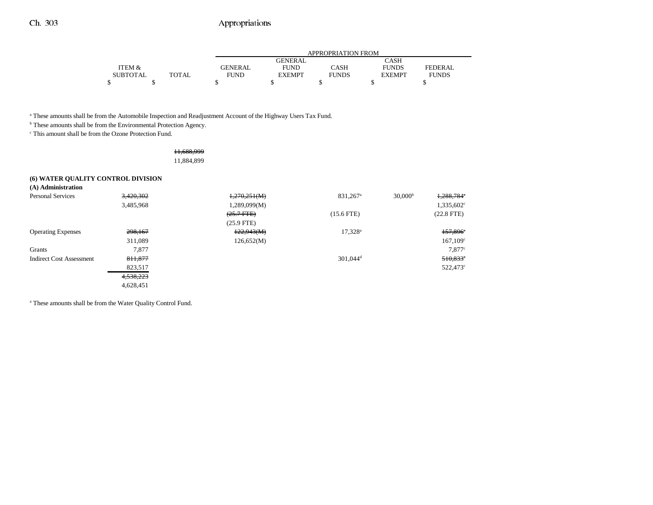|                 |       | APPROPRIATION FROM |                |              |               |                |  |
|-----------------|-------|--------------------|----------------|--------------|---------------|----------------|--|
|                 |       |                    | <b>GENERAL</b> |              | CASH          |                |  |
| ITEM &          |       | <b>GENERAL</b>     | <b>FUND</b>    | CASH         | <b>FUNDS</b>  | <b>FEDERAL</b> |  |
| <b>SUBTOTAL</b> | TOTAL | FUND               | <b>EXEMPT</b>  | <b>FUNDS</b> | <b>EXEMPT</b> | <b>FUNDS</b>   |  |
|                 |       |                    |                |              |               |                |  |

a These amounts shall be from the Automobile Inspection and Readjustment Account of the Highway Users Tax Fund.

 $<sup>b</sup>$  These amounts shall be from the Environmental Protection Agency.</sup>

c This amount shall be from the Ozone Protection Fund.

#### 11,688,999 11,884,899

## **(6) WATER QUALITY CONTROL DIVISION**

**(A) Administration**

| <b>Personal Services</b>  | 3,420,302 | 1,270,251(M)   | $831,267$ <sup>a</sup> | 30,000 <sup>b</sup> | 1,288,784°           |
|---------------------------|-----------|----------------|------------------------|---------------------|----------------------|
|                           | 3.485,968 | 1,289,099(M)   |                        |                     | $1,335,602^{\circ}$  |
|                           |           | $(25.7 + FFE)$ | $(15.6$ FTE)           |                     | $(22.8$ FTE)         |
|                           |           | $(25.9$ FTE)   |                        |                     |                      |
| <b>Operating Expenses</b> | 298,167   | 122,943(M)     | $17,328^a$             |                     | 157,896 <sup>e</sup> |
|                           | 311,089   | 126,652(M)     |                        |                     | $167,109^{\circ}$    |
| Grants                    | 7,877     |                |                        |                     | 7.877c               |
| Indirect Cost Assessment  | 811,877   |                | $301,044$ <sup>d</sup> |                     | $510,833$ °          |
|                           | 823,517   |                |                        |                     | $522,473^{\circ}$    |
|                           | 4,538,223 |                |                        |                     |                      |
|                           | 4,628,451 |                |                        |                     |                      |

a These amounts shall be from the Water Quality Control Fund.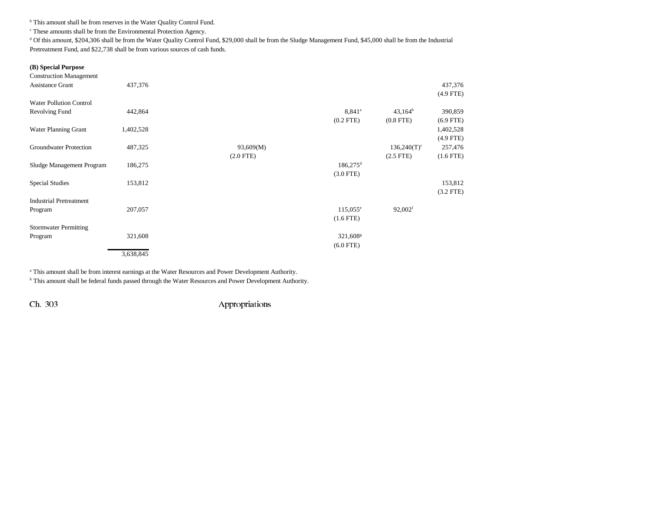<sup>b</sup> This amount shall be from reserves in the Water Quality Control Fund.

c These amounts shall be from the Environmental Protection Agency.

<sup>d</sup> Of this amount, \$204,306 shall be from the Water Quality Control Fund, \$29,000 shall be from the Sludge Management Fund, \$45,000 shall be from the Industrial Pretreatment Fund, and \$22,738 shall be from various sources of cash funds.

### **(B) Special Purpose**

| <b>Construction Management</b> |           |             |                        |                           |             |
|--------------------------------|-----------|-------------|------------------------|---------------------------|-------------|
| <b>Assistance Grant</b>        | 437,376   |             |                        |                           | 437,376     |
|                                |           |             |                        |                           | $(4.9$ FTE) |
| <b>Water Pollution Control</b> |           |             |                        |                           |             |
| Revolving Fund                 | 442,864   |             | $8,841^a$              | $43,164^b$                | 390,859     |
|                                |           |             | $(0.2$ FTE)            | $(0.8$ FTE $)$            | $(6.9$ FTE) |
| <b>Water Planning Grant</b>    | 1,402,528 |             |                        |                           | 1,402,528   |
|                                |           |             |                        |                           | $(4.9$ FTE) |
| Groundwater Protection         | 487,325   | 93,609(M)   |                        | $136,240(T)$ <sup>c</sup> | 257,476     |
|                                |           | $(2.0$ FTE) |                        | $(2.5$ FTE $)$            | $(1.6$ FTE) |
| Sludge Management Program      | 186,275   |             | $186,275$ <sup>d</sup> |                           |             |
|                                |           |             | $(3.0$ FTE)            |                           |             |
| <b>Special Studies</b>         | 153,812   |             |                        |                           | 153,812     |
|                                |           |             |                        |                           | $(3.2$ FTE) |
| <b>Industrial Pretreatment</b> |           |             |                        |                           |             |
| Program                        | 207,057   |             | $115,055^{\circ}$      | $92,002$ <sup>f</sup>     |             |
|                                |           |             | $(1.6$ FTE $)$         |                           |             |
| <b>Stormwater Permitting</b>   |           |             |                        |                           |             |
| Program                        | 321,608   |             | 321,608 <sup>s</sup>   |                           |             |
|                                |           |             | $(6.0$ FTE)            |                           |             |
|                                | 3,638,845 |             |                        |                           |             |
|                                |           |             |                        |                           |             |

<sup>a</sup> This amount shall be from interest earnings at the Water Resources and Power Development Authority.

b This amount shall be federal funds passed through the Water Resources and Power Development Authority.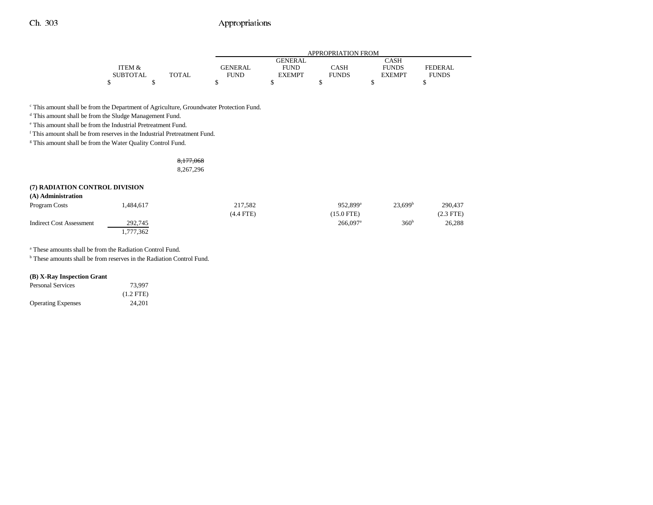|                 |              |                | APPROPRIATION FROM |              |               |              |  |  |
|-----------------|--------------|----------------|--------------------|--------------|---------------|--------------|--|--|
|                 |              |                | <b>GENERAL</b>     |              | <b>CASH</b>   |              |  |  |
| 'TEM &          |              | <b>GENERAL</b> | <b>FUND</b>        | CASH         | <b>FUNDS</b>  | FEDERAL      |  |  |
| <b>SUBTOTAL</b> | <b>TOTAL</b> | FUND           | <b>EXEMPT</b>      | <b>FUNDS</b> | <b>EXEMPT</b> | <b>FUNDS</b> |  |  |
| ሖ               |              |                |                    |              |               |              |  |  |

 $^{\mathrm{c}}$  This amount shall be from the Department of Agriculture, Groundwater Protection Fund.

<sup>d</sup> This amount shall be from the Sludge Management Fund.

e This amount shall be from the Industrial Pretreatment Fund.

f This amount shall be from reserves in the Industrial Pretreatment Fund.

<sup>g</sup> This amount shall be from the Water Quality Control Fund.

### 8,177,068 8,267,296

#### **(7) RADIATION CONTROL DIVISION (A) Administration**

| Program Costs            | .484,617  | 217.582     | 952.899 <sup>a</sup>   | 23.699 <sup>b</sup> | 290,437     |
|--------------------------|-----------|-------------|------------------------|---------------------|-------------|
|                          |           | $(4.4$ FTE) | $(15.0$ FTE)           |                     | $(2.3$ FTE) |
| Indirect Cost Assessment | 292,745   |             | $266.097$ <sup>a</sup> | 360 <sup>b</sup>    | 26,288      |
|                          | 1,777,362 |             |                        |                     |             |

a These amounts shall be from the Radiation Control Fund.

<sup>b</sup> These amounts shall be from reserves in the Radiation Control Fund.

#### **(B) X-Ray Inspection Grant**

| <b>Personal Services</b>  | 73.997      |
|---------------------------|-------------|
|                           | $(1.2$ FTE) |
| <b>Operating Expenses</b> | 24.201      |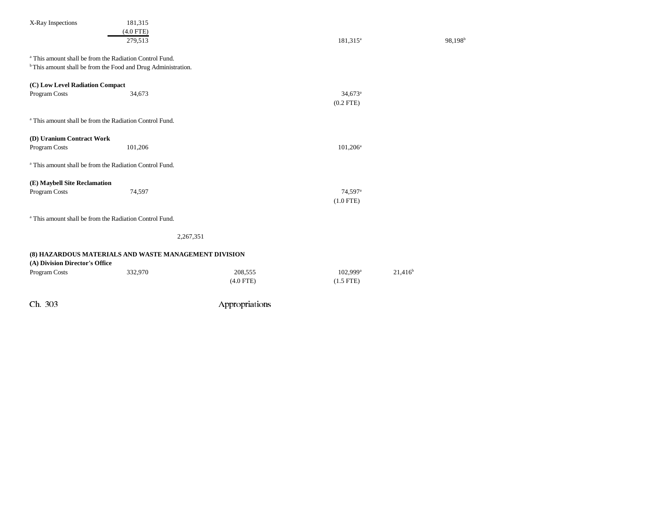| Ch. 303                                                                  |             | Appropriations |                       |                     |
|--------------------------------------------------------------------------|-------------|----------------|-----------------------|---------------------|
|                                                                          |             | $(4.0$ FTE)    | $(1.5$ FTE)           |                     |
| Program Costs                                                            | 332,970     | 208,555        | $102,999^{\rm a}$     | $21,416^b$          |
| (A) Division Director's Office                                           |             |                |                       |                     |
| (8) HAZARDOUS MATERIALS AND WASTE MANAGEMENT DIVISION                    |             |                |                       |                     |
|                                                                          |             |                |                       |                     |
|                                                                          |             | 2,267,351      |                       |                     |
|                                                                          |             |                |                       |                     |
| <sup>a</sup> This amount shall be from the Radiation Control Fund.       |             |                |                       |                     |
|                                                                          |             |                | $(1.0$ FTE)           |                     |
| Program Costs                                                            | 74,597      |                | 74,597 <sup>a</sup>   |                     |
| (E) Maybell Site Reclamation                                             |             |                |                       |                     |
|                                                                          |             |                |                       |                     |
| <sup>a</sup> This amount shall be from the Radiation Control Fund.       |             |                |                       |                     |
| Program Costs                                                            | 101,206     |                | $101,206^a$           |                     |
| (D) Uranium Contract Work                                                |             |                |                       |                     |
|                                                                          |             |                |                       |                     |
| <sup>a</sup> This amount shall be from the Radiation Control Fund.       |             |                |                       |                     |
|                                                                          |             |                | $(0.2$ FTE)           |                     |
| Program Costs                                                            | 34,673      |                | $34,673$ <sup>a</sup> |                     |
| (C) Low Level Radiation Compact                                          |             |                |                       |                     |
| <sup>b</sup> This amount shall be from the Food and Drug Administration. |             |                |                       |                     |
| <sup>a</sup> This amount shall be from the Radiation Control Fund.       |             |                |                       |                     |
|                                                                          |             |                |                       |                     |
|                                                                          | 279.513     |                | 181,315 <sup>a</sup>  | 98,198 <sup>b</sup> |
|                                                                          | $(4.0$ FTE) |                |                       |                     |
| X-Ray Inspections                                                        | 181,315     |                |                       |                     |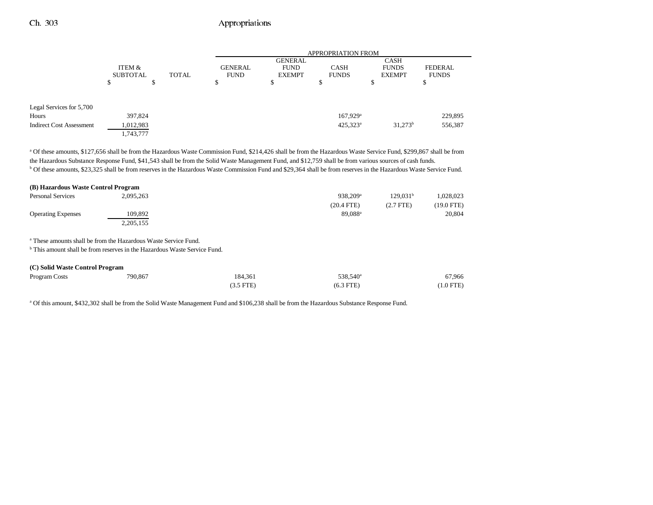|                                 |                 |   |              | <b>APPROPRIATION FROM</b> |                |                      |               |                |
|---------------------------------|-----------------|---|--------------|---------------------------|----------------|----------------------|---------------|----------------|
|                                 |                 |   |              |                           | <b>GENERAL</b> |                      | <b>CASH</b>   |                |
|                                 | ITEM &          |   |              | <b>GENERAL</b>            | <b>FUND</b>    | <b>CASH</b>          | <b>FUNDS</b>  | <b>FEDERAL</b> |
|                                 | <b>SUBTOTAL</b> |   | <b>TOTAL</b> | <b>FUND</b>               | <b>EXEMPT</b>  | <b>FUNDS</b>         | <b>EXEMPT</b> | <b>FUNDS</b>   |
|                                 |                 | Φ |              | S.                        | ъ              | Φ<br>Φ               | J             |                |
|                                 |                 |   |              |                           |                |                      |               |                |
| Legal Services for 5,700        |                 |   |              |                           |                |                      |               |                |
| Hours                           | 397,824         |   |              |                           |                | 167,929 <sup>a</sup> |               | 229,895        |
| <b>Indirect Cost Assessment</b> | 1,012,983       |   |              |                           |                | $425,323^{\circ}$    | $31,273^b$    | 556,387        |
|                                 | 1,743,777       |   |              |                           |                |                      |               |                |

a Of these amounts, \$127,656 shall be from the Hazardous Waste Commission Fund, \$214,426 shall be from the Hazardous Waste Service Fund, \$299,867 shall be from the Hazardous Substance Response Fund, \$41,543 shall be from the Solid Waste Management Fund, and \$12,759 shall be from various sources of cash funds. b Of these amounts, \$23,325 shall be from reserves in the Hazardous Waste Commission Fund and \$29,364 shall be from reserves in the Hazardous Waste Service Fund.

| (B) Hazardous Waste Control Program |                      |                      |                      |            |
|-------------------------------------|----------------------|----------------------|----------------------|------------|
| <b>Personal Services</b>            | 2.095.263            | 938.209 <sup>a</sup> | 129.031 <sup>b</sup> | .028.023   |
|                                     |                      | $(20.4$ FTE)         | $(2.7$ FTE)          | (19.0 FTE) |
| <b>Operating Expenses</b>           | 109.892<br>2,205,155 | 89.088 <sup>a</sup>  |                      | 20,804     |

a These amounts shall be from the Hazardous Waste Service Fund.

<sup>b</sup> This amount shall be from reserves in the Hazardous Waste Service Fund.

| (C) Solid Waste Control Program |         |             |                      |             |  |  |
|---------------------------------|---------|-------------|----------------------|-------------|--|--|
| Program Costs                   | 790,867 | 184.361     | 538.540 <sup>a</sup> | 67,966      |  |  |
|                                 |         | $(3.5$ FTE) | $(6.3$ FTE)          | $(1.0$ FTE) |  |  |

a Of this amount, \$432,302 shall be from the Solid Waste Management Fund and \$106,238 shall be from the Hazardous Substance Response Fund.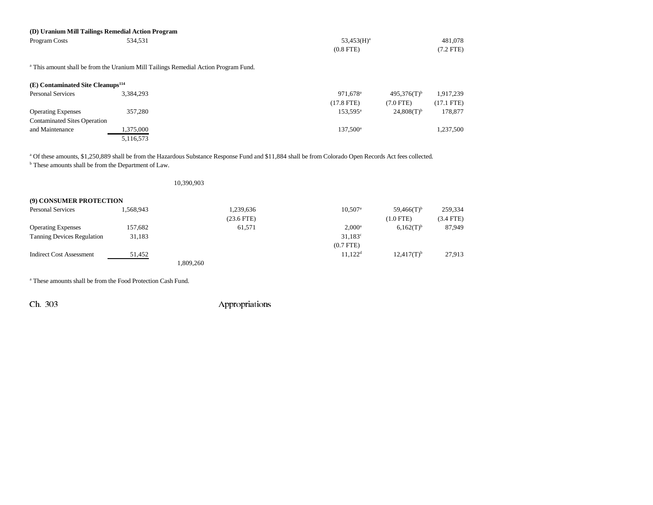|                                               | (D) Uranium Mill Tailings Remedial Action Program                                              |               |             |
|-----------------------------------------------|------------------------------------------------------------------------------------------------|---------------|-------------|
| Program Costs                                 | 534.531                                                                                        | $53,453(H)^a$ | 481.078     |
|                                               |                                                                                                | $(0.8$ FTE)   | $(7.2$ FTE) |
|                                               | <sup>a</sup> This amount shall be from the Uranium Mill Tailings Remedial Action Program Fund. |               |             |
| (E) Contaminated Site Cleanups <sup>114</sup> |                                                                                                |               |             |

| <b>Personal Services</b>            | 3.384.293 | $495.376(T)^b$<br>$971.678$ <sup>a</sup>      | 1.917.239    |
|-------------------------------------|-----------|-----------------------------------------------|--------------|
|                                     |           | $(17.8$ FTE)<br>(7.0 FTE)                     | $(17.1$ FTE) |
| <b>Operating Expenses</b>           | 357,280   | $24,808(T)$ <sup>b</sup><br>$153.595^{\circ}$ | 178,877      |
| <b>Contaminated Sites Operation</b> |           |                                               |              |
| and Maintenance                     | 1,375,000 | $137,500^{\circ}$                             | 1,237,500    |
|                                     | 5,116,573 |                                               |              |

<sup>a</sup> Of these amounts, \$1,250,889 shall be from the Hazardous Substance Response Fund and \$11,884 shall be from Colorado Open Records Act fees collected.

b These amounts shall be from the Department of Law.

|                                   |           | 10,390,903 |                 |                       |                          |             |
|-----------------------------------|-----------|------------|-----------------|-----------------------|--------------------------|-------------|
| (9) CONSUMER PROTECTION           |           |            |                 |                       |                          |             |
| <b>Personal Services</b>          | 1,568,943 |            | 1,239,636       | $10,507$ <sup>a</sup> | $59,466(T)$ <sup>b</sup> | 259,334     |
|                                   |           |            | $(23.6$ FTE $)$ |                       | $(1.0$ FTE)              | $(3.4$ FTE) |
| <b>Operating Expenses</b>         | 157,682   |            | 61,571          | $2,000^a$             | $6,162(T)^{b}$           | 87,949      |
| <b>Tanning Devices Regulation</b> | 31,183    |            |                 | $31,183^{\circ}$      |                          |             |
|                                   |           |            |                 | $(0.7$ FTE $)$        |                          |             |
| <b>Indirect Cost Assessment</b>   | 51,452    |            |                 | $11.122^d$            | $12,417(T)^{b}$          | 27,913      |
|                                   |           | 1,809,260  |                 |                       |                          |             |

a These amounts shall be from the Food Protection Cash Fund.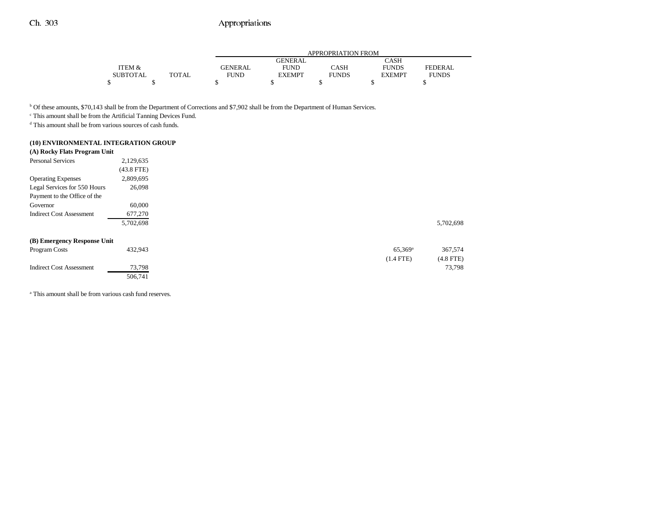|          |              |                | APPROPRIATION FROM |              |               |                |  |
|----------|--------------|----------------|--------------------|--------------|---------------|----------------|--|
|          |              |                | <b>GENERAL</b>     |              | CASH          |                |  |
| ITEM &   |              | <b>GENERAL</b> | FUND               | CASH         | <b>FUNDS</b>  | <b>FEDERAL</b> |  |
| SUBTOTAL | <b>TOTAL</b> | FUND           | <b>EXEMPT</b>      | <b>FUNDS</b> | <b>EXEMPT</b> | <b>FUNDS</b>   |  |
|          |              |                |                    |              |               |                |  |

b Of these amounts, \$70,143 shall be from the Department of Corrections and \$7,902 shall be from the Department of Human Services.

c This amount shall be from the Artificial Tanning Devices Fund.

d This amount shall be from various sources of cash funds.

## **(10) ENVIRONMENTAL INTEGRATION GROUP**

| (A) Rocky Flats Program Unit    |              |  |                       |  |
|---------------------------------|--------------|--|-----------------------|--|
| <b>Personal Services</b>        | 2,129,635    |  |                       |  |
|                                 | $(43.8$ FTE) |  |                       |  |
| <b>Operating Expenses</b>       | 2,809,695    |  |                       |  |
| Legal Services for 550 Hours    | 26,098       |  |                       |  |
| Payment to the Office of the    |              |  |                       |  |
| Governor                        | 60,000       |  |                       |  |
| <b>Indirect Cost Assessment</b> | 677,270      |  |                       |  |
|                                 | 5,702,698    |  |                       |  |
| (B) Emergency Response Unit     |              |  |                       |  |
| Program Costs                   | 432,943      |  | $65,369$ <sup>a</sup> |  |
|                                 |              |  | $(1.4$ FTE)           |  |
| <b>Indirect Cost Assessment</b> | 73,798       |  |                       |  |
|                                 | 506,741      |  |                       |  |

<sup>a</sup> This amount shall be from various cash fund reserves.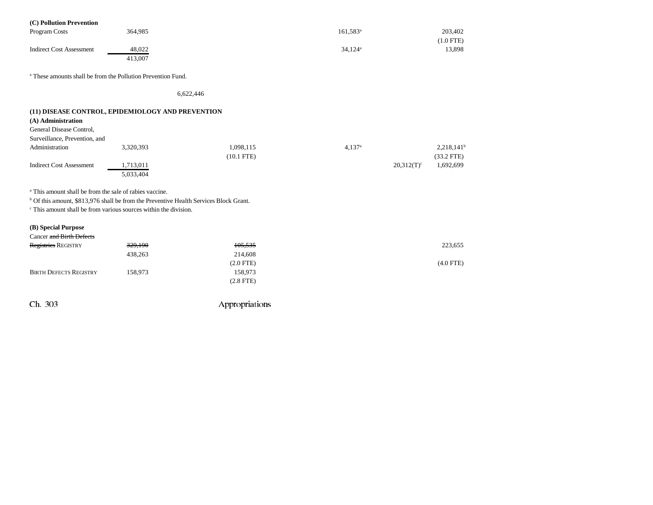| (C) Pollution Prevention                                                                         |           |              |                   |               |               |
|--------------------------------------------------------------------------------------------------|-----------|--------------|-------------------|---------------|---------------|
| Program Costs                                                                                    | 364,985   |              | $161,583^{\circ}$ |               | 203,402       |
|                                                                                                  |           |              |                   |               | $(1.0$ FTE)   |
| <b>Indirect Cost Assessment</b>                                                                  | 48,022    |              | $34,124^a$        |               | 13,898        |
|                                                                                                  | 413,007   |              |                   |               |               |
| <sup>a</sup> These amounts shall be from the Pollution Prevention Fund.                          |           |              |                   |               |               |
|                                                                                                  | 6,622,446 |              |                   |               |               |
| (11) DISEASE CONTROL, EPIDEMIOLOGY AND PREVENTION                                                |           |              |                   |               |               |
| (A) Administration                                                                               |           |              |                   |               |               |
| General Disease Control,                                                                         |           |              |                   |               |               |
| Surveillance, Prevention, and                                                                    |           |              |                   |               |               |
| Administration                                                                                   | 3,320,393 | 1,098,115    | $4,137^{\circ}$   |               | $2,218,141^b$ |
|                                                                                                  |           | $(10.1$ FTE) |                   |               | $(33.2$ FTE)  |
| <b>Indirect Cost Assessment</b>                                                                  | 1,713,011 |              |                   | $20,312(T)^c$ | 1,692,699     |
|                                                                                                  | 5,033,404 |              |                   |               |               |
| <sup>a</sup> This amount shall be from the sale of rabies vaccine.                               |           |              |                   |               |               |
| <sup>b</sup> Of this amount, \$813,976 shall be from the Preventive Health Services Block Grant. |           |              |                   |               |               |
| <sup>c</sup> This amount shall be from various sources within the division.                      |           |              |                   |               |               |
|                                                                                                  |           |              |                   |               |               |
| (B) Special Purpose<br>Cancer and Birth Defects                                                  |           |              |                   |               |               |
| Registries REGISTRY                                                                              | 329,190   | 105,535      |                   |               | 223,655       |
|                                                                                                  | 438,263   | 214,608      |                   |               |               |
|                                                                                                  |           | $(2.0$ FTE)  |                   |               | $(4.0$ FTE)   |
| <b>BIRTH DEFECTS REGISTRY</b>                                                                    | 158,973   | 158,973      |                   |               |               |
|                                                                                                  |           | $(2.8$ FTE)  |                   |               |               |
|                                                                                                  |           |              |                   |               |               |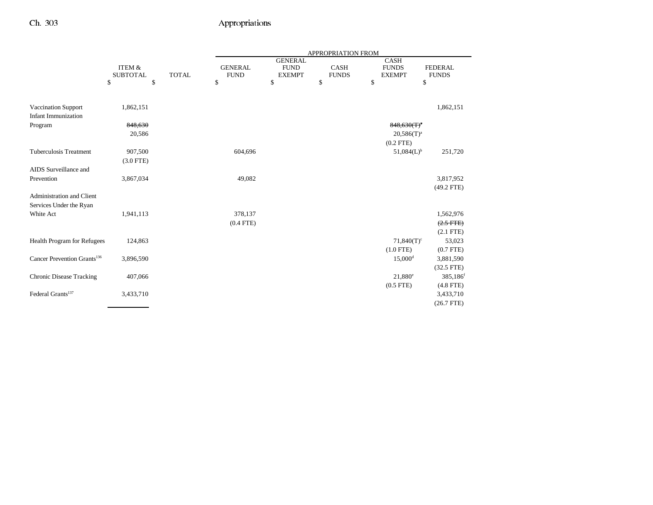|                                         |                           |              |                               |                                                | APPROPRIATION FROM          |                                              |                                |
|-----------------------------------------|---------------------------|--------------|-------------------------------|------------------------------------------------|-----------------------------|----------------------------------------------|--------------------------------|
|                                         | ITEM &<br><b>SUBTOTAL</b> | <b>TOTAL</b> | <b>GENERAL</b><br><b>FUND</b> | <b>GENERAL</b><br><b>FUND</b><br><b>EXEMPT</b> | <b>CASH</b><br><b>FUNDS</b> | <b>CASH</b><br><b>FUNDS</b><br><b>EXEMPT</b> | <b>FEDERAL</b><br><b>FUNDS</b> |
|                                         | \$<br>\$                  |              | \$                            | \$                                             | \$                          | \$                                           | \$                             |
| <b>Vaccination Support</b>              | 1,862,151                 |              |                               |                                                |                             |                                              | 1,862,151                      |
| <b>Infant Immunization</b>              |                           |              |                               |                                                |                             |                                              |                                |
| Program                                 | 848,630                   |              |                               |                                                |                             | $848,630(T)^4$                               |                                |
|                                         | 20,586                    |              |                               |                                                |                             | $20,586(T)^a$                                |                                |
|                                         |                           |              |                               |                                                |                             | $(0.2$ FTE)                                  |                                |
| <b>Tuberculosis Treatment</b>           | 907,500                   |              | 604,696                       |                                                |                             | 51,084(L) <sup>b</sup>                       | 251,720                        |
|                                         | $(3.0$ FTE)               |              |                               |                                                |                             |                                              |                                |
| AIDS Surveillance and                   |                           |              |                               |                                                |                             |                                              |                                |
| Prevention                              | 3,867,034                 |              | 49,082                        |                                                |                             |                                              | 3,817,952<br>$(49.2$ FTE)      |
| <b>Administration and Client</b>        |                           |              |                               |                                                |                             |                                              |                                |
| Services Under the Ryan                 |                           |              |                               |                                                |                             |                                              |                                |
| White Act                               | 1,941,113                 |              | 378,137                       |                                                |                             |                                              | 1,562,976                      |
|                                         |                           |              | $(0.4$ FTE)                   |                                                |                             |                                              | $(2.5$ FTE)                    |
|                                         |                           |              |                               |                                                |                             |                                              | $(2.1$ FTE)                    |
| Health Program for Refugees             | 124,863                   |              |                               |                                                |                             | $71,840(T)$ <sup>c</sup>                     | 53,023                         |
|                                         |                           |              |                               |                                                |                             | $(1.0$ FTE)                                  | $(0.7$ FTE)                    |
| Cancer Prevention Grants <sup>136</sup> | 3,896,590                 |              |                               |                                                |                             | $15,000$ <sup>d</sup>                        | 3,881,590                      |
|                                         |                           |              |                               |                                                |                             |                                              | $(32.5$ FTE)                   |
| <b>Chronic Disease Tracking</b>         | 407,066                   |              |                               |                                                |                             | $21,880^e$                                   | 385,186 <sup>f</sup>           |
|                                         |                           |              |                               |                                                |                             | $(0.5$ FTE)                                  | $(4.8$ FTE)                    |
| Federal Grants <sup>137</sup>           | 3,433,710                 |              |                               |                                                |                             |                                              | 3,433,710                      |
|                                         |                           |              |                               |                                                |                             |                                              | $(26.7$ FTE)                   |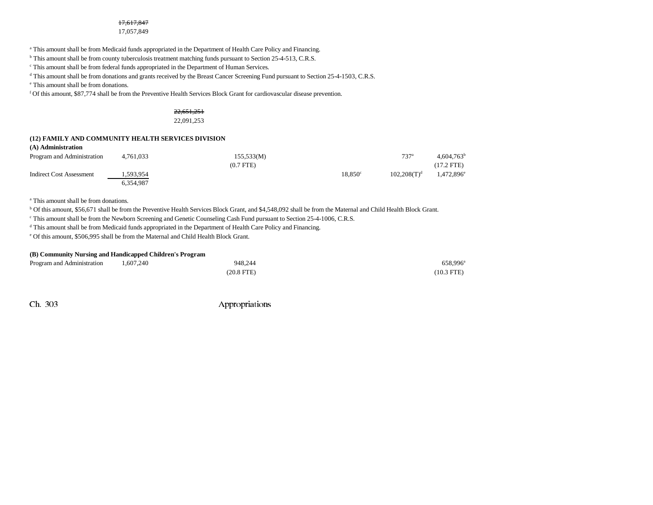#### 17,617,847

#### 17,057,849

a This amount shall be from Medicaid funds appropriated in the Department of Health Care Policy and Financing.

<sup>b</sup> This amount shall be from county tuberculosis treatment matching funds pursuant to Section 25-4-513, C.R.S.

c This amount shall be from federal funds appropriated in the Department of Human Services.

<sup>d</sup> This amount shall be from donations and grants received by the Breast Cancer Screening Fund pursuant to Section 25-4-1503, C.R.S.

e This amount shall be from donations.

f Of this amount, \$87,774 shall be from the Preventive Health Services Block Grant for cardiovascular disease prevention.

## 22,651,251

22,091,253

#### **(12) FAMILY AND COMMUNITY HEALTH SERVICES DIVISION (A) Administration**

| Program and Administration | 4,761,033 | 155,533(M)     |                  | 737 <sup>a</sup> | 4.604.763 <sup>b</sup> |
|----------------------------|-----------|----------------|------------------|------------------|------------------------|
|                            |           | $(0.7$ FTE $)$ |                  |                  | $(17.2$ FTE)           |
| Indirect Cost Assessment   | 1.593.954 |                | $18.850^{\circ}$ | $102.208(T)^d$   | $1,472,896^e$          |
|                            | 6,354,987 |                |                  |                  |                        |

a This amount shall be from donations.

b Of this amount, \$56,671 shall be from the Preventive Health Services Block Grant, and \$4,548,092 shall be from the Maternal and Child Health Block Grant.

<sup>c</sup> This amount shall be from the Newborn Screening and Genetic Counseling Cash Fund pursuant to Section 25-4-1006, C.R.S.

d This amount shall be from Medicaid funds appropriated in the Department of Health Care Policy and Financing.

e Of this amount, \$506,995 shall be from the Maternal and Child Health Block Grant.

#### **(B) Community Nursing and Handicapped Children's Program**

| Program and Administration | 1.607.240 | 948.244      | 658,996      |
|----------------------------|-----------|--------------|--------------|
|                            |           | $(20.8$ FTE) | $(10.3$ FTE) |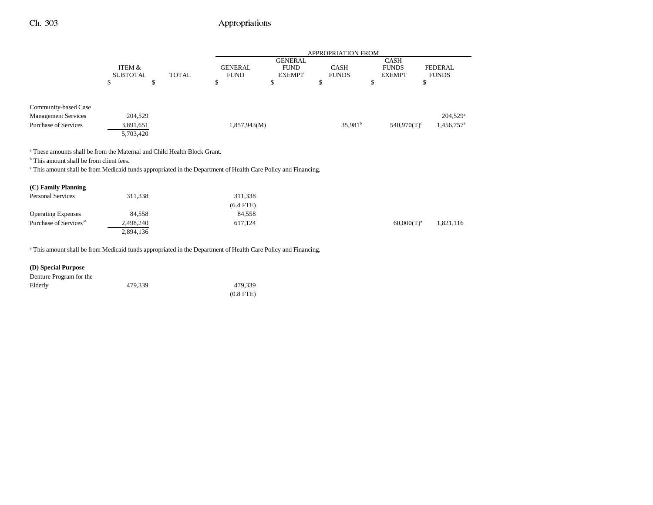|                                                                                                                          |                 |              | <b>APPROPRIATION FROM</b> |                |                     |                           |                          |
|--------------------------------------------------------------------------------------------------------------------------|-----------------|--------------|---------------------------|----------------|---------------------|---------------------------|--------------------------|
|                                                                                                                          |                 |              |                           | <b>GENERAL</b> |                     | <b>CASH</b>               |                          |
|                                                                                                                          | ITEM &          |              | <b>GENERAL</b>            | <b>FUND</b>    | <b>CASH</b>         | <b>FUNDS</b>              | <b>FEDERAL</b>           |
|                                                                                                                          | <b>SUBTOTAL</b> | <b>TOTAL</b> | <b>FUND</b>               | <b>EXEMPT</b>  | <b>FUNDS</b>        | <b>EXEMPT</b>             | <b>FUNDS</b>             |
|                                                                                                                          | ъ<br>ъ          |              | P                         | J.             | S.                  | \$                        | J.                       |
|                                                                                                                          |                 |              |                           |                |                     |                           |                          |
| Community-based Case                                                                                                     |                 |              |                           |                |                     |                           |                          |
| <b>Management Services</b>                                                                                               | 204.529         |              |                           |                |                     |                           | $204,529$ <sup>a</sup>   |
| <b>Purchase of Services</b>                                                                                              | 3,891,651       |              | 1,857,943(M)              |                | 35,981 <sup>b</sup> | $540,970(T)$ <sup>c</sup> | $1,456,757$ <sup>a</sup> |
|                                                                                                                          | 5,703,420       |              |                           |                |                     |                           |                          |
|                                                                                                                          |                 |              |                           |                |                     |                           |                          |
| <sup>a</sup> These amounts shall be from the Maternal and Child Health Block Grant.                                      |                 |              |                           |                |                     |                           |                          |
| <sup>b</sup> This amount shall be from client fees.                                                                      |                 |              |                           |                |                     |                           |                          |
| <sup>c</sup> This amount shall be from Medicaid funds appropriated in the Department of Health Care Policy and Financing |                 |              |                           |                |                     |                           |                          |

c This amount shall be from Medicaid funds appropriated in the Department of Health Care Policy and Financing.

| (C) Family Planning                |           |             |               |           |
|------------------------------------|-----------|-------------|---------------|-----------|
| <b>Personal Services</b>           | 311,338   | 311,338     |               |           |
|                                    |           | $(6.4$ FTE) |               |           |
| <b>Operating Expenses</b>          | 84,558    | 84,558      |               |           |
| Purchase of Services <sup>34</sup> | 2,498,240 | 617.124     | $60,000(T)^a$ | 1,821,116 |
|                                    | 2,894,136 |             |               |           |

<sup>a</sup> This amount shall be from Medicaid funds appropriated in the Department of Health Care Policy and Financing.

## **(D) Special Purpose**

| Denture Program for the |         |             |
|-------------------------|---------|-------------|
| Elderly                 | 479.339 | 479.339     |
|                         |         | $(0.8$ FTE) |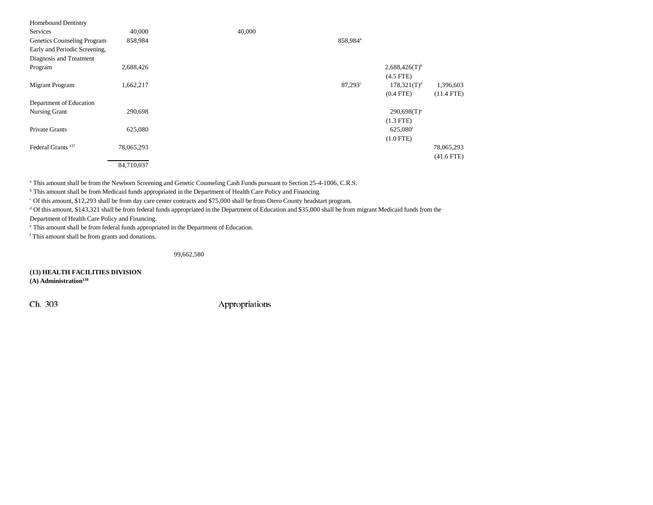| <b>Homebound Dentistry</b>    |            |        |                      |                             |              |
|-------------------------------|------------|--------|----------------------|-----------------------------|--------------|
| Services                      | 40,000     | 40,000 |                      |                             |              |
| Genetics Counseling Program   | 858,984    |        | 858,984 <sup>a</sup> |                             |              |
| Early and Periodic Screening, |            |        |                      |                             |              |
| Diagnosis and Treatment       |            |        |                      |                             |              |
| Program                       | 2,688,426  |        |                      | $2,688,426(T)$ <sup>b</sup> |              |
|                               |            |        |                      | $(4.5$ FTE)                 |              |
| Migrant Program               | 1,662,217  |        | $87,293^{\circ}$     | $178,321(T)^d$              | 1,396,603    |
|                               |            |        |                      | $(0.4$ FTE)                 | $(11.4$ FTE) |
| Department of Education       |            |        |                      |                             |              |
| Nursing Grant                 | 290,698    |        |                      | $290,698(T)$ <sup>e</sup>   |              |
|                               |            |        |                      | $(1.3$ FTE)                 |              |
| Private Grants                | 625,080    |        |                      | 625,080 <sup>f</sup>        |              |
|                               |            |        |                      | $(1.0$ FTE)                 |              |
| Federal Grants <sup>137</sup> | 78,065,293 |        |                      |                             | 78,065,293   |
|                               |            |        |                      |                             | $(41.6$ FTE) |
|                               | 84,710,037 |        |                      |                             |              |

a This amount shall be from the Newborn Screening and Genetic Counseling Cash Funds pursuant to Section 25-4-1006, C.R.S.

<sup>b</sup> This amount shall be from Medicaid funds appropriated in the Department of Health Care Policy and Financing.

c Of this amount, \$12,293 shall be from day care center contracts and \$75,000 shall be from Otero County headstart program.

<sup>d</sup> Of this amount, \$143,321 shall be from federal funds appropriated in the Department of Education and \$35,000 shall be from migrant Medicaid funds from the

Department of Health Care Policy and Financing.

e This amount shall be from federal funds appropriated in the Department of Education.

f This amount shall be from grants and donations.

99,662,580

### **(13) HEALTH FACILITIES DIVISION**

(A) Administration<sup>138</sup>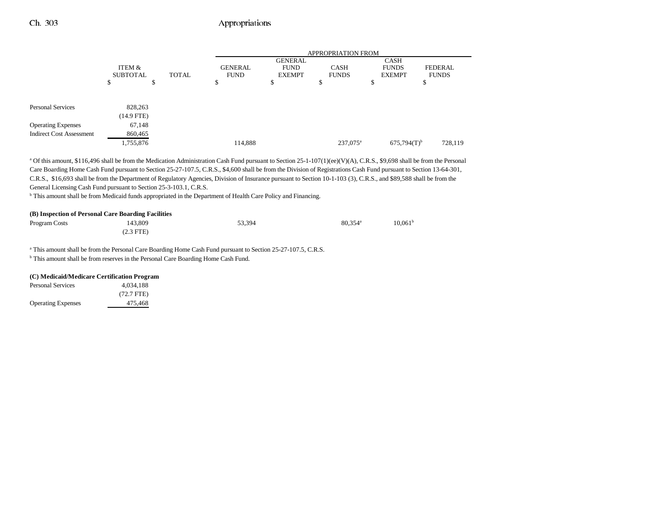|                                 | <b>APPROPRIATION FROM</b> |                                        |                                                |                             |                                       |                                |         |
|---------------------------------|---------------------------|----------------------------------------|------------------------------------------------|-----------------------------|---------------------------------------|--------------------------------|---------|
|                                 | ITEM &<br><b>SUBTOTAL</b> | <b>GENERAL</b><br>TOTAL<br><b>FUND</b> | <b>GENERAL</b><br><b>FUND</b><br><b>EXEMPT</b> | <b>CASH</b><br><b>FUNDS</b> | CASH<br><b>FUNDS</b><br><b>EXEMPT</b> | <b>FEDERAL</b><br><b>FUNDS</b> |         |
|                                 | D                         | ъ                                      | \$                                             | Ф                           | P                                     | ۰υ                             | ъ       |
| <b>Personal Services</b>        | 828,263                   |                                        |                                                |                             |                                       |                                |         |
|                                 | $(14.9$ FTE)              |                                        |                                                |                             |                                       |                                |         |
| <b>Operating Expenses</b>       | 67,148                    |                                        |                                                |                             |                                       |                                |         |
| <b>Indirect Cost Assessment</b> | 860,465                   |                                        |                                                |                             |                                       |                                |         |
|                                 | 1,755,876                 |                                        | 114,888                                        |                             | $237,075^{\circ}$                     | $675,794(T)$ <sup>b</sup>      | 728,119 |

<sup>a</sup> Of this amount, \$116,496 shall be from the Medication Administration Cash Fund pursuant to Section 25-1-107(1)(ee)(V)(A), C.R.S., \$9,698 shall be from the Personal Care Boarding Home Cash Fund pursuant to Section 25-27-107.5, C.R.S., \$4,600 shall be from the Division of Registrations Cash Fund pursuant to Section 13-64-301, C.R.S., \$16,693 shall be from the Department of Regulatory Agencies, Division of Insurance pursuant to Section 10-1-103 (3), C.R.S., and \$89,588 shall be from the General Licensing Cash Fund pursuant to Section 25-3-103.1, C.R.S.

b This amount shall be from Medicaid funds appropriated in the Department of Health Care Policy and Financing.

| (B) Inspection of Personal Care Boarding Facilities |             |        |                       |                  |  |  |
|-----------------------------------------------------|-------------|--------|-----------------------|------------------|--|--|
| Program Costs                                       | 143.809     | 53.394 | $80.354$ <sup>a</sup> | $10,061^{\rm t}$ |  |  |
|                                                     | $(2.3$ FTE) |        |                       |                  |  |  |

a This amount shall be from the Personal Care Boarding Home Cash Fund pursuant to Section 25-27-107.5, C.R.S.

b This amount shall be from reserves in the Personal Care Boarding Home Cash Fund.

#### **(C) Medicaid/Medicare Certification Program**

| Personal Services         | 4.034.188            |
|---------------------------|----------------------|
|                           | $(72.7 \text{ FTE})$ |
| <b>Operating Expenses</b> | 475.468              |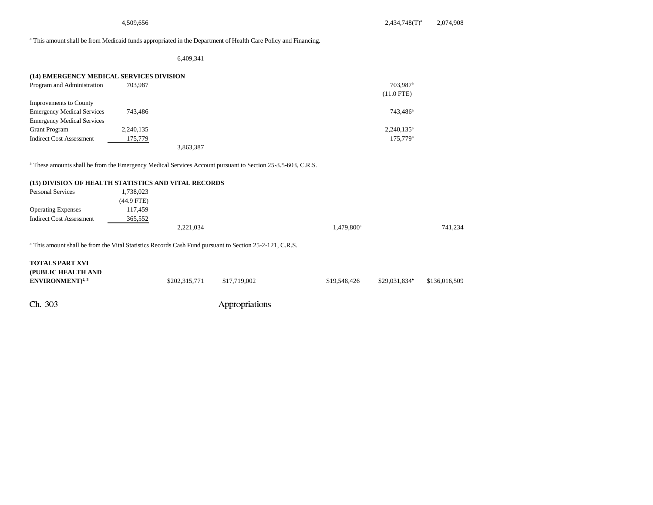#### a This amount shall be from Medicaid funds appropriated in the Department of Health Care Policy and Financing.

6,409,341

| (14) EMERGENCY MEDICAL SERVICES DIVISION |           |           |                      |
|------------------------------------------|-----------|-----------|----------------------|
| Program and Administration               | 703.987   |           | 703.987 <sup>a</sup> |
|                                          |           |           | $(11.0$ FTE)         |
| Improvements to County                   |           |           |                      |
| <b>Emergency Medical Services</b>        | 743.486   |           | 743.486 <sup>a</sup> |
| <b>Emergency Medical Services</b>        |           |           |                      |
| <b>Grant Program</b>                     | 2,240,135 |           | $2,240,135^{\circ}$  |
| <b>Indirect Cost Assessment</b>          | 175,779   |           | 175,779 <sup>a</sup> |
|                                          |           | 3,863,387 |                      |

<sup>a</sup> These amounts shall be from the Emergency Medical Services Account pursuant to Section 25-3.5-603, C.R.S.

#### **(15) DIVISION OF HEALTH STATISTICS AND VITAL RECORDS**

| <b>Personal Services</b>        | ,738,023   |           |                                   |  |
|---------------------------------|------------|-----------|-----------------------------------|--|
|                                 | (44.9 FTE) |           |                                   |  |
| <b>Operating Expenses</b>       | 117,459    |           |                                   |  |
| <b>Indirect Cost Assessment</b> | 365,552    |           |                                   |  |
|                                 |            | 2,221,034 | 741.234<br>1,479,800 <sup>a</sup> |  |

<sup>a</sup> This amount shall be from the Vital Statistics Records Cash Fund pursuant to Section 25-2-121, C.R.S.

# Ch. 303 Appropriations **TOTALS PART XVI (PUBLIC HEALTH AND ENVIRONMENT**)<sup>2, 3</sup> 5202,315,771 \$17,719,002 \$19,548,426 \$29,031,834 \$136,016,509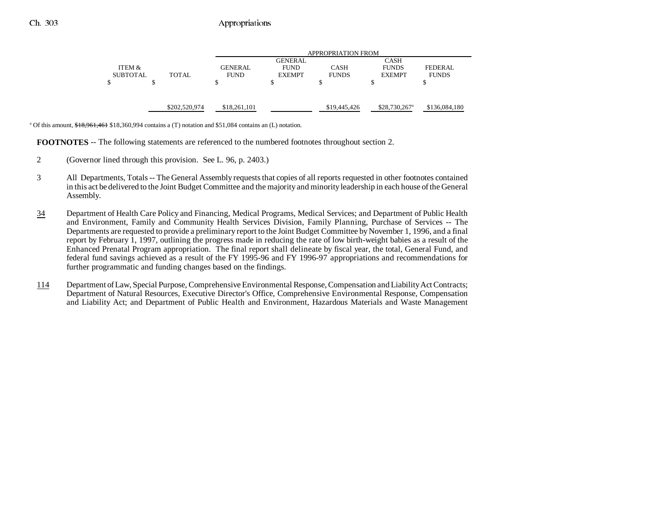|                 |               |                | <b>APPROPRIATION FROM</b> |              |                            |                |
|-----------------|---------------|----------------|---------------------------|--------------|----------------------------|----------------|
|                 |               |                | <b>GENERAL</b>            |              | <b>CASH</b>                |                |
| ITEM &          |               | <b>GENERAL</b> | <b>FUND</b>               | <b>CASH</b>  | <b>FUNDS</b>               | <b>FEDERAL</b> |
| <b>SUBTOTAL</b> | TOTAL         | <b>FUND</b>    | <b>EXEMPT</b>             | <b>FUNDS</b> | <b>EXEMPT</b>              | <b>FUNDS</b>   |
| \$              |               |                | S                         |              |                            |                |
|                 |               |                |                           |              |                            |                |
|                 |               |                |                           |              |                            |                |
|                 | \$202,520,974 | \$18,261,101   |                           | \$19,445,426 | $$28,730,267$ <sup>a</sup> | \$136,084,180  |
|                 |               |                |                           |              |                            |                |

<sup>a</sup> Of this amount,  $\frac{418,961,461}{18,360,994}$  contains a (T) notation and \$51,084 contains an (L) notation.

**FOOTNOTES** -- The following statements are referenced to the numbered footnotes throughout section 2.

- 2 (Governor lined through this provision. See L. 96, p. 2403.)
- 3 All Departments, Totals -- The General Assembly requests that copies of all reports requested in other footnotes contained in this act be delivered to the Joint Budget Committee and the majority and minority leadership in each house of the General Assembly.
- 34 Department of Health Care Policy and Financing, Medical Programs, Medical Services; and Department of Public Health and Environment, Family and Community Health Services Division, Family Planning, Purchase of Services -- The Departments are requested to provide a preliminary report to the Joint Budget Committee by November 1, 1996, and a final report by February 1, 1997, outlining the progress made in reducing the rate of low birth-weight babies as a result of the Enhanced Prenatal Program appropriation. The final report shall delineate by fiscal year, the total, General Fund, and federal fund savings achieved as a result of the FY 1995-96 and FY 1996-97 appropriations and recommendations for further programmatic and funding changes based on the findings.
- 114 Department of Law, Special Purpose, Comprehensive Environmental Response, Compensation and Liability Act Contracts; Department of Natural Resources, Executive Director's Office, Comprehensive Environmental Response, Compensation and Liability Act; and Department of Public Health and Environment, Hazardous Materials and Waste Management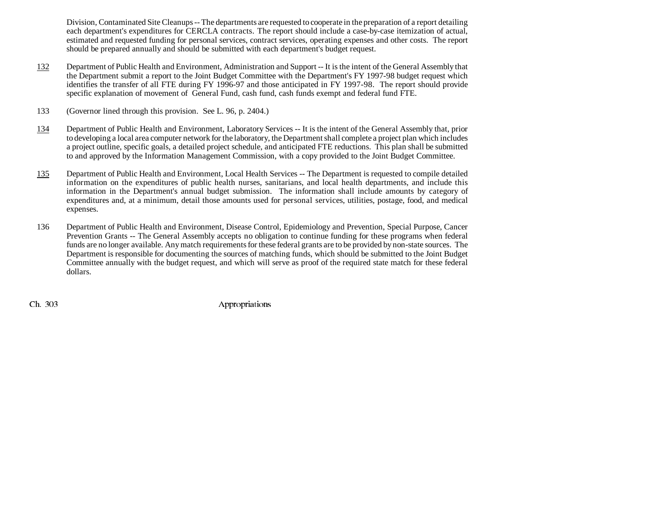Division, Contaminated Site Cleanups -- The departments are requested to cooperate in the preparation of a report detailing each department's expenditures for CERCLA contracts. The report should include a case-by-case itemization of actual, estimated and requested funding for personal services, contract services, operating expenses and other costs. The report should be prepared annually and should be submitted with each department's budget request.

- 132 Department of Public Health and Environment, Administration and Support -- It is the intent of the General Assembly that the Department submit a report to the Joint Budget Committee with the Department's FY 1997-98 budget request which identifies the transfer of all FTE during FY 1996-97 and those anticipated in FY 1997-98. The report should provide specific explanation of movement of General Fund, cash fund, cash funds exempt and federal fund FTE.
- 133 (Governor lined through this provision. See L. 96, p. 2404.)
- 134 Department of Public Health and Environment, Laboratory Services -- It is the intent of the General Assembly that, prior to developing a local area computer network for the laboratory, the Department shall complete a project plan which includes a project outline, specific goals, a detailed project schedule, and anticipated FTE reductions. This plan shall be submitted to and approved by the Information Management Commission, with a copy provided to the Joint Budget Committee.
- 135 Department of Public Health and Environment, Local Health Services -- The Department is requested to compile detailed information on the expenditures of public health nurses, sanitarians, and local health departments, and include this information in the Department's annual budget submission. The information shall include amounts by category of expenditures and, at a minimum, detail those amounts used for personal services, utilities, postage, food, and medical expenses.
- 136 Department of Public Health and Environment, Disease Control, Epidemiology and Prevention, Special Purpose, Cancer Prevention Grants -- The General Assembly accepts no obligation to continue funding for these programs when federal funds are no longer available. Any match requirements for these federal grants are to be provided by non-state sources. The Department is responsible for documenting the sources of matching funds, which should be submitted to the Joint Budget Committee annually with the budget request, and which will serve as proof of the required state match for these federal dollars.